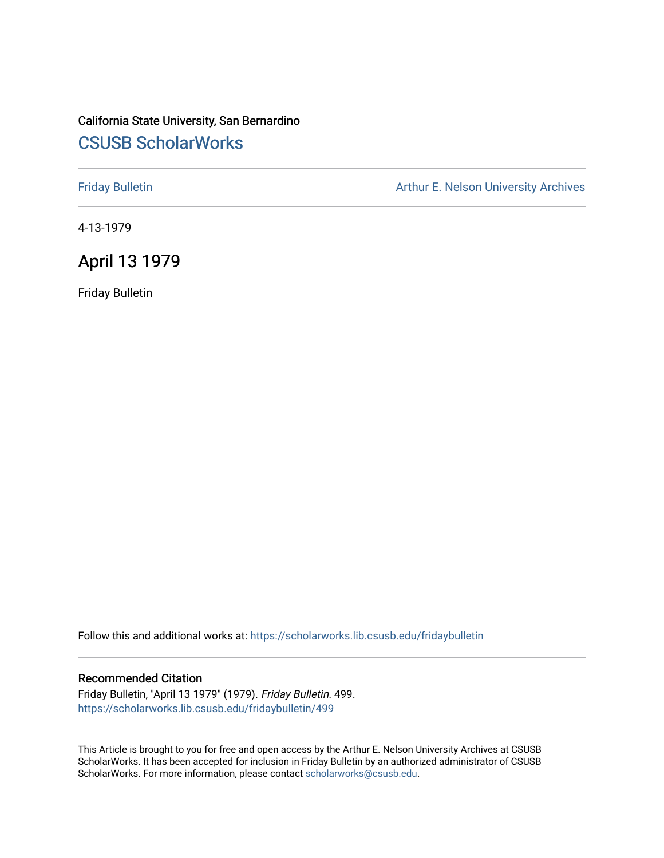# California State University, San Bernardino [CSUSB ScholarWorks](https://scholarworks.lib.csusb.edu/)

[Friday Bulletin](https://scholarworks.lib.csusb.edu/fridaybulletin) **Arthur E. Nelson University Archives** Arthur E. Nelson University Archives

4-13-1979

# April 13 1979

Friday Bulletin

Follow this and additional works at: [https://scholarworks.lib.csusb.edu/fridaybulletin](https://scholarworks.lib.csusb.edu/fridaybulletin?utm_source=scholarworks.lib.csusb.edu%2Ffridaybulletin%2F499&utm_medium=PDF&utm_campaign=PDFCoverPages)

## Recommended Citation

Friday Bulletin, "April 13 1979" (1979). Friday Bulletin. 499. [https://scholarworks.lib.csusb.edu/fridaybulletin/499](https://scholarworks.lib.csusb.edu/fridaybulletin/499?utm_source=scholarworks.lib.csusb.edu%2Ffridaybulletin%2F499&utm_medium=PDF&utm_campaign=PDFCoverPages)

This Article is brought to you for free and open access by the Arthur E. Nelson University Archives at CSUSB ScholarWorks. It has been accepted for inclusion in Friday Bulletin by an authorized administrator of CSUSB ScholarWorks. For more information, please contact [scholarworks@csusb.edu.](mailto:scholarworks@csusb.edu)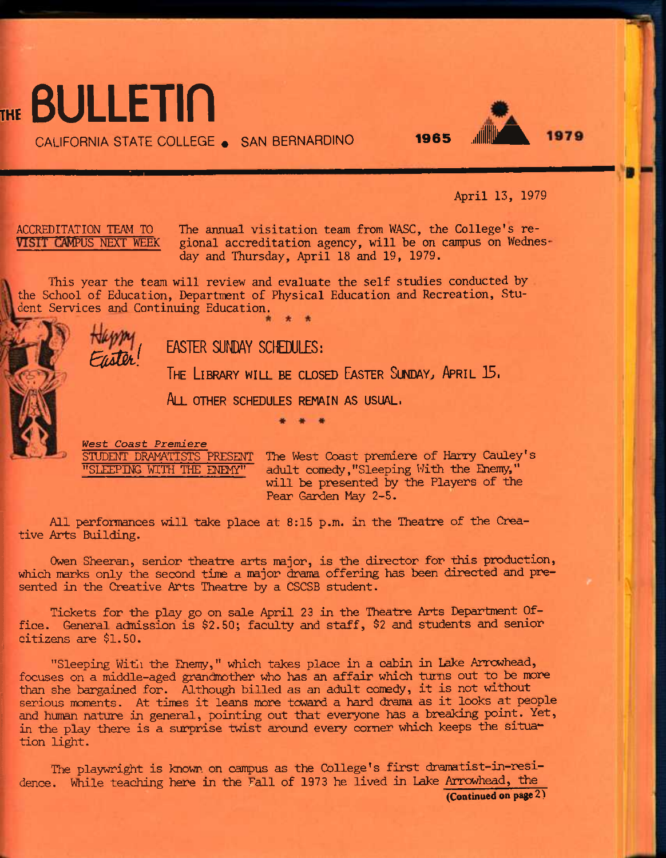

CALIFORNIA STATE COLLEGE . SAN BERNARDINO 1965



April 13, 1979

ACCREDITATION TEAM TO **VISIT CAMPUS NEXT WEEK**  The annual visitation team from WASC, the College's regional accreditation agency, will be on campus on Wednesday and Thursday, April 18 and 19, 1979.

This year the team will review and evaluate the self studies conducted by the School of Education, Department of Physical Education and Recreation, Student Services and Continuing Education.



EASTER SUNDAY SCHEDULES:

**THE LIBRARY WILL BE CLOSED EASTER SUNDAY. APRIL 15.** 

**ALL OTHER SCHEDULES REMAIN AS USUAL.** 

*West Coast Premiere*  STUDENT DRAMATISTS PRESENT

"SLEEPING WITH THE ENEMY"

The West Coast premiere of Harry Cauley's adult comedy,"Sleeping With the Enemy," will be presented by the Players of the Pear Garden May 2-5.

All perfonnances will take place at 8; 15 p.m. in the Theatre of the Creative Arts Building.

Owen Sheeran, senior theatre arts major, is the director for this production, which marks only the second time a major drama offering has been directed and presented in the Creative Arts Theatre by a CSCSB student.

Tickets for the play go on sale April 23 in the Theatre Arts Department Office. General admission is \$2.50; faculty and staff, \$2 and students and senior citizens are \$1.50.

"Sleeping With the Enemy," which takes place in a cabin in Lake Arrowhead, focuses on a middle-aged grandmother who has an affair which turns out to be more than she bargained for. Although billed as an adult comedy, it is not without serious moments. At times it leans more toward a hard drama as it looks at people and human nature in general, pointing out that everyone has a breaking point. Yet, in the play there is a surprise twist around every corner which keeps the situation light.

The playwright is known on campus as the College's first dramatist-in-residence. While teaching here in the Fall of 1973 he lived in Lake Arrowhead, the (Continued on page 2)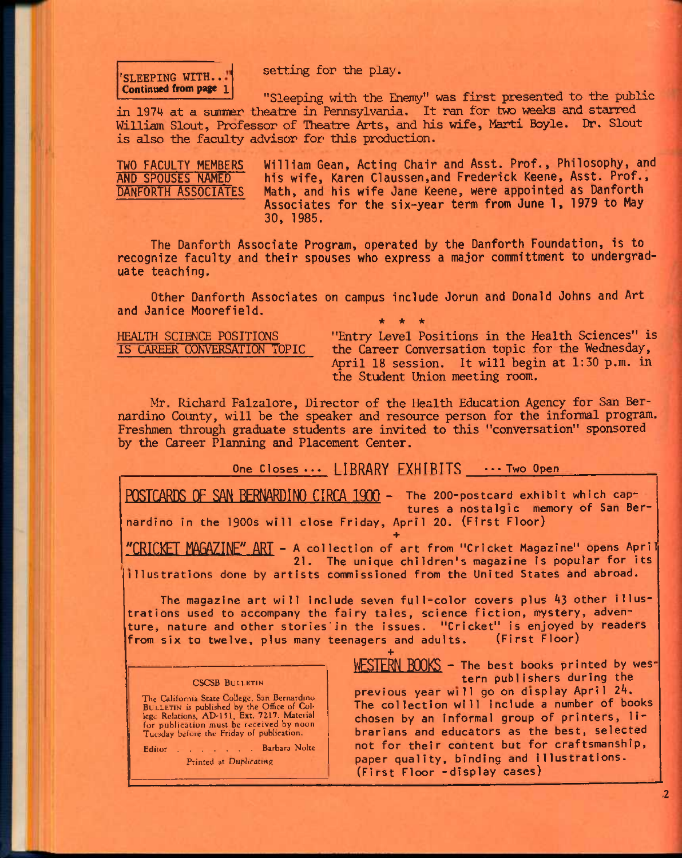## **'SLEEPING WITH..**  Continued from page 1

setting for the play.

"Sleeping with the Enemy" was first presented to the public in 1974 at a summer theatre in Pennsylvania. It ran for two weeks and starred William Slout, Professor of Theatre Arts, and his wife, Marti Boyle. Dr. Slout is also the faculty advisor for this production.

**TWO FACULTY MEMBERS William Gean, Actinq Chair and Asst. Prof., Philosophy, and AND SPOUSES NAMED his wife, Karen Claussen,and Frederick Keene, Asst. Prof.,**  Math, and his wife Jane Keene, were appointed as Danforth **Associates for the six-year term from June 1, 1979 to May 30, 1985.** 

**The Danforth Associate Program, operated by the Danforth Foundation, is to recognize faculty and their spouses who express a major committment to undergraduate teaching.** 

**Other Danforth Associates on campus include Jorun and Donald Johns and Art and Janice Moorefield,**  • \* \*

HEALTH SCIENCE POSITIONS "Entry Level Positions in the Health Sciences" is<br>IS CAREER CONVERSATION TOPIC the Career Conversation topic for the Wednesday, the Career Conversation topic for the Wednesday, April 18 session. It will begin at  $1:30$  p.m. in the Student Union meeting room,

Mr. Richard Falzalore, Director of the Health Education Agency for San Bernardino County, will be the speaker and resource person for the informal program. Freshmen through graduate students are invited to this "conversation" sponsored by the Career Planning and Placement Center.

One Closes ... **LIBRARY FXHIRITS** •••Two Open

**POSTCARDS OF SAN BERNARDINO CIRCA 1900 -** The 200-postcard exhibit which captures a nostalgic memory of San Bernardino in the 1900s will close Friday, April 20. (First Floor) **+** 

**"CRICKET MAGAZINE" ART - A** collection of art from "Cricket Magazine" opens April 21. The unique children's magazine is popular for its illustrations done by artists commissioned from the United States and abroad.

The magazine art will include seven full-color covers plus 43 other illustrations used to accompany the fairy tales, science fiction, mystery, adventure, nature and other stories'in the issues. "Cricket" is enjoyed by readers from six to twelve, plus many teenagers and adults. (First Floor)

**+** 

### CSCSB BULLETIN

The California State College. San Bernardino BULLETIN is published by the Office of College Relations, AD-151, Ext. 7217. Material for publication must be received by noon Tuesday before the Friday of publication.

Editor . . . . . . Barbara Nolte Printed at Duplicating

**WESTERN BOOKS** - The best books printed by western publishers during the previous year will go on display April 24. The collection will include a number of books chosen by an informal group of printers, librarians and educators as the best, selected not for their content but for craftsmanship, paper quality, binding and illustrations. (First Floor -display cases)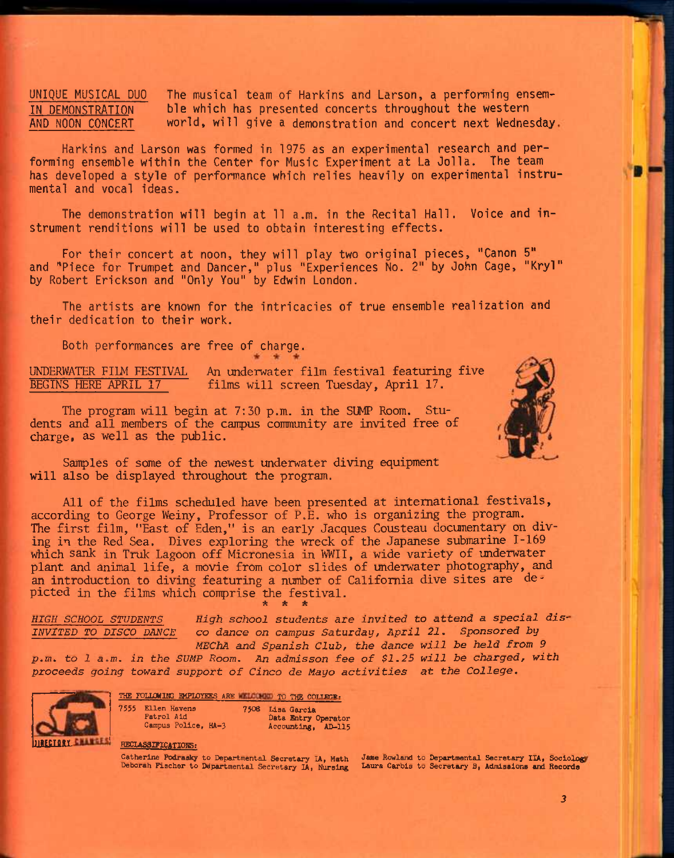**UNIQUE MUSICAL DUO IN DEMONSTRATION AND NOON CONCERT** 

The musical team of Harkins and Larson, a performing ensem**ble which has presented concerts throughout the western world, will give a demonstration and concert next Wednesday,** 

**Harkins and Larson was formed in 1975 as an experimental research and performing ensemble within the Center for Music Experiment at La Jolla. The team has developed a style of performance which relies heavily on experimental instrumental and vocal ideas.** 

**The demonstration will begin at 11 a.m. in the Recital Hall. Voice and instrument renditions will be used to obtain interesting effects.** 

**For their concert at noon, they will play two original pieces, "Canon 5" and '\*Piece for Trumpet and Dancer," plus "Experiences No. 2" by John Cage, "Kryl" by Robert Erickson and "Only You" by Edwin London.** 

**The artists are known for the intricacies of true ensemble realization and their dedication to their work.** 

**SALE** 

**Both performances are free of charge.** 

UNDERWATER FILM FESTIVAL BEGINS HERE APRIL 17 An underwater film festival featuring five films will screen Tuesday, April 17.

The program will begin at 7:30 p.m. in the SUMP Room. Students and all members of the campus community are invited free of charge, as well as the public.

Samples of some of the newest underwater diving equipment will also be displayed throughout the program.

All of the films scheduled have been presented at international festivals, according to George Weiny, Professor of P.E. who is organizing the program. The first film, "East of Eden," is an early Jacques Cousteau documentary on diving in the Red Sea. Dives exploring the wreck of the Japanese submarine 1-169 which sank in Truk Lagoon off Micronesia in WWII, a wide variety of underwater plant and animal life, a movie from color slides of underwater photography, and an introduction to diving featuring a number of California dive sites are depicted in the films which conprise the festival. *Ik \* \** 

*HIGH SCHOOL STUDENTS High school students are invited to attend a special dis-INVITED TO DISCO DANCE CO dance on campus Saturday, April 21. Sponsored by* 

*MEChA and Spanish Club, the dance will be held from 9 p.m. to 1 a.m. in the SUMP Room. An admisson fee of \$1.25 will be charged, with proceeds going toward support of Cinco de Mayo activities at the College,* 



THE FOLLOWING EMPLOYEES ARE WELL MEDITO THE COLLEGE. 7555 Ellen Havens 7506 Lisa Garcia Patrol Aid **Data Entry Operator**<br>Campus Police, HA-3 **Accounting, AD-115** Accounting, AD-115

### RECIASSIPICATIONS:

Catherine Podraaky to Departmental Secretary lA, Math Deborah Fischer to Ddpartmental Secretary lA, Nursing

Jame Rowland to Departmental Secretary IIA, Sociology Laura Carbis to Secretary B, Admisaions and Records

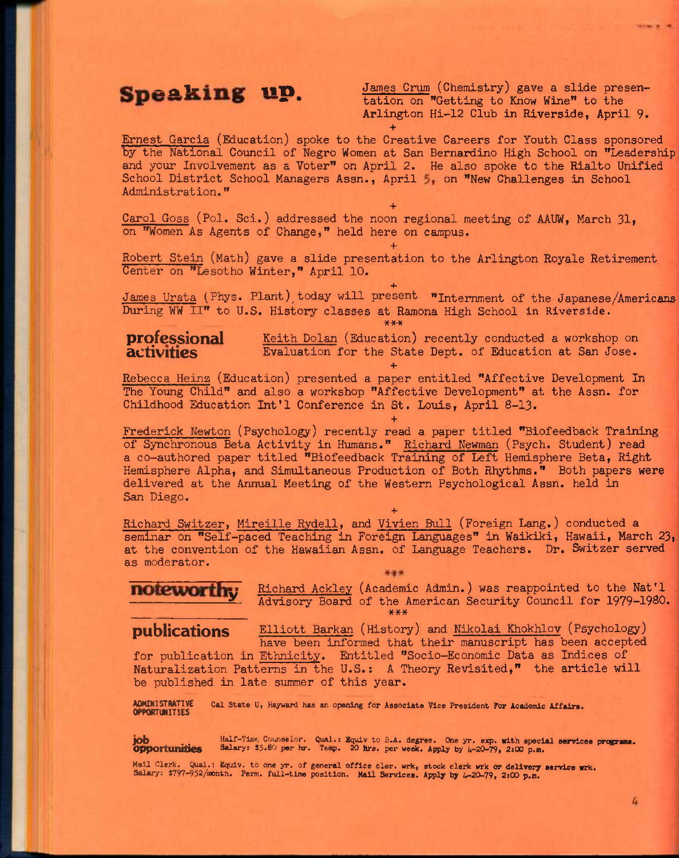$\bullet$  **1:ing 1:D** James Crum (Chemistry) gave a slide presen-**10.** • • James Crum (Chemistry) gave a slide present to the tation on "Getting to Know Wine" to the Arlington Hi-12 Club in Riverside. April Arlington Hi-12 Club in Riverside, April 9. **+** 

Ernest Garcia (Education) spoke to the Creative Careers for Youth Class sponsored by the National Council of Negro Women at San Bernardino High School on "Leadership and your Involvement as a Voter" on April 2. He also spoke to the Rialto Unified School District School Managers Assn., April 5 on "New Challenges in School Administration."

**+**  Carol Goss (Pol. Sci.) addressed the noon regional meeting of AAUW, March 31, on "Women As Agents of Change," held here on campus.

Robert Stein (Math) gave a slide presentation to the Arlington Royale Retirement Center on "Lesotho Winter," April 10.

**+** 

**+**  James Urata (Phys. Plant) today will present "Internment of the Japanese/Americans During WW II" to U.S. History classes at Ramona High School in Riverside.

\*\*\*

**+** 

**+** 

# **professional** Keith Dolan (Education) recently conducted a workshop on **activities** Evaluation for the State Dept. of Education at San Jose. Evaluation for the State Dept. of Education at San Jose.

Rebecca Heinz (Education) presented a paper entitled "Affective Development In The Young Child" and also a workshop "Affective Development" at the Assn. for Childhood Education Int'l Conference in St. Louis, April 8-13.

Frederick Newton (Psychology) recently read a paper titled "Biofeedback Training of Synchronous Beta Activity in Humans." Richard Newman (Psych. Student) read a co-authored paper titled "Biofeedback Training of Left Hemisphere Beta, Right Hemisphere Alpha, and Simultaneous Production of Both Rhythms." Both papers were delivered at the Annual Meeting of the Western Psychological Assn. held in San Diego.

**+** 

Richard Switzer, Mireille Rydell, and Vivien Bull (Foreign Lang.) conducted a seminar on "Self-paced Teaching in Foreign Languages" in Waikiki, Hawaii, March 23, at the convention of the Hawaiian Assn. of Language Teachers. Dr. Switzer served as moderator.

Richard Ackley (Academic Admin.) was reappointed to the Nat'l Advisory Board of the American Security Council for 1979-1980.

**publications** Elliott Barkan (History) and Nikolai Khokhlov (Psychology) have been informed that their manuscript has been accepted for publication in Ethnicity. Entitled "Socio-Economic Data as Indices of Naturalization Patterns in the U.S.: A Theory Revisited," the article will be published in late summer of this year.

ADMINISTRATIVE Cal State U, Hayward has an opening for Associate Vice President For Academic Affairs. OPPORTUNITIES

job Half-Time Counselor. Qual.: Equiv to B.A. degree. One yr. exp. with special services programs. **Opportunities** Salary: \$5.80 per hr. Temp. 20 Mrs. per week. Apply by 4-20-79, 2:00 p.m.

Mail Clerk. Qual.: Equiv. to one yr. of general office cler. wrk, stock clerk wrk or delivery service wrk. Salary: \$797-952/month. Perm. full-time position. Mail Services. Apply by 4-20-79, 2:00 p.m.